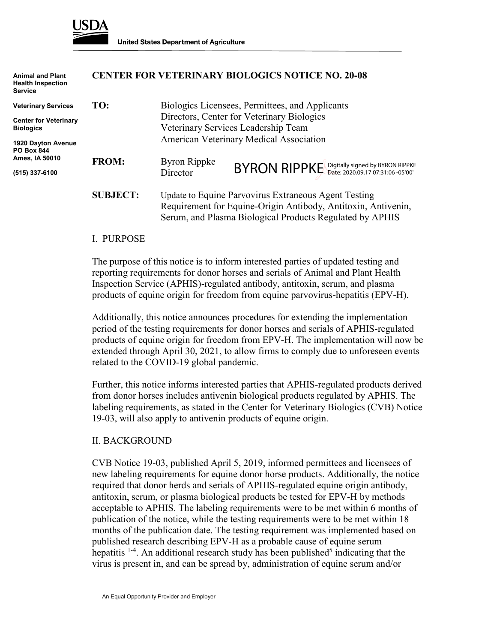

| <b>Animal and Plant</b><br><b>Health Inspection</b><br><b>Service</b> | <b>CENTER FOR VETERINARY BIOLOGICS NOTICE NO. 20-08</b> |                                                                                                                                                                                   |                                               |  |
|-----------------------------------------------------------------------|---------------------------------------------------------|-----------------------------------------------------------------------------------------------------------------------------------------------------------------------------------|-----------------------------------------------|--|
| <b>Veterinary Services</b>                                            | TO:                                                     | Biologics Licensees, Permittees, and Applicants                                                                                                                                   |                                               |  |
| <b>Center for Veterinary</b><br><b>Biologics</b>                      |                                                         | Directors, Center for Veterinary Biologics<br>Veterinary Services Leadership Team<br>American Veterinary Medical Association                                                      |                                               |  |
| 1920 Dayton Avenue<br><b>PO Box 844</b><br>Ames, IA 50010             |                                                         |                                                                                                                                                                                   |                                               |  |
|                                                                       | <b>FROM:</b>                                            | Byron Rippke                                                                                                                                                                      |                                               |  |
| (515) 337-6100                                                        |                                                         | Director                                                                                                                                                                          | BYRON RIPPKE Digitally signed by BYRON RIPPKE |  |
|                                                                       | <b>SUBJECT:</b>                                         | Update to Equine Parvovirus Extraneous Agent Testing<br>Requirement for Equine-Origin Antibody, Antitoxin, Antivenin,<br>Serum, and Plasma Biological Products Regulated by APHIS |                                               |  |

#### I. PURPOSE

The purpose of this notice is to inform interested parties of updated testing and reporting requirements for donor horses and serials of Animal and Plant Health Inspection Service (APHIS)-regulated antibody, antitoxin, serum, and plasma products of equine origin for freedom from equine parvovirus-hepatitis (EPV-H).

Additionally, this notice announces procedures for extending the implementation period of the testing requirements for donor horses and serials of APHIS-regulated products of equine origin for freedom from EPV-H. The implementation will now be extended through April 30, 2021, to allow firms to comply due to unforeseen events related to the COVID-19 global pandemic.

Further, this notice informs interested parties that APHIS-regulated products derived from donor horses includes antivenin biological products regulated by APHIS. The labeling requirements, as stated in the Center for Veterinary Biologics (CVB) Notice 19-03, will also apply to antivenin products of equine origin.

#### II. BACKGROUND

CVB Notice 19-03, published April 5, 2019, informed permittees and licensees of new labeling requirements for equine donor horse products. Additionally, the notice required that donor herds and serials of APHIS-regulated equine origin antibody, antitoxin, serum, or plasma biological products be tested for EPV-H by methods acceptable to APHIS. The labeling requirements were to be met within 6 months of publication of the notice, while the testing requirements were to be met within 18 months of the publication date. The testing requirement was implemented based on published research describing EPV-H as a probable cause of equine serum hepatitis <sup>1-4</sup>. An additional research study has been published<sup>5</sup> indicating that the virus is present in, and can be spread by, administration of equine serum and/or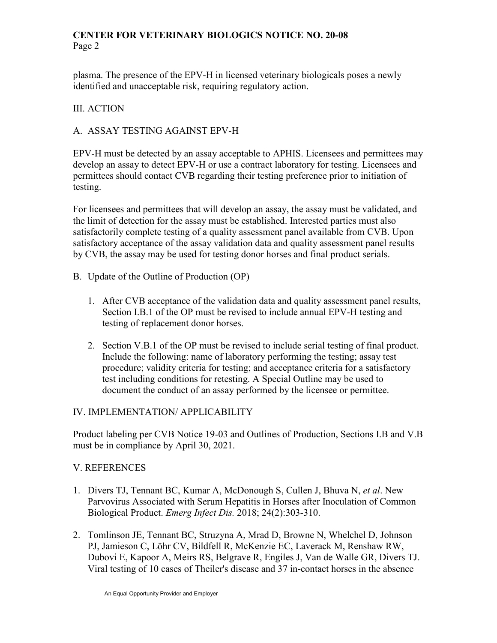# **CENTER FOR VETERINARY BIOLOGICS NOTICE NO. 20-08** Page 2

plasma. The presence of the EPV-H in licensed veterinary biologicals poses a newly identified and unacceptable risk, requiring regulatory action.

# III. ACTION

# A. ASSAY TESTING AGAINST EPV-H

EPV-H must be detected by an assay acceptable to APHIS. Licensees and permittees may develop an assay to detect EPV-H or use a contract laboratory for testing. Licensees and permittees should contact CVB regarding their testing preference prior to initiation of testing.

For licensees and permittees that will develop an assay, the assay must be validated, and the limit of detection for the assay must be established. Interested parties must also satisfactorily complete testing of a quality assessment panel available from CVB. Upon satisfactory acceptance of the assay validation data and quality assessment panel results by CVB, the assay may be used for testing donor horses and final product serials.

- B. Update of the Outline of Production (OP)
	- 1. After CVB acceptance of the validation data and quality assessment panel results, Section I.B.1 of the OP must be revised to include annual EPV-H testing and testing of replacement donor horses.
	- 2. Section V.B.1 of the OP must be revised to include serial testing of final product. Include the following: name of laboratory performing the testing; assay test procedure; validity criteria for testing; and acceptance criteria for a satisfactory test including conditions for retesting. A Special Outline may be used to document the conduct of an assay performed by the licensee or permittee.

### IV. IMPLEMENTATION/ APPLICABILITY

Product labeling per CVB Notice 19-03 and Outlines of Production, Sections I.B and V.B must be in compliance by April 30, 2021.

### V. REFERENCES

- 1. Divers TJ, Tennant BC, Kumar A, McDonough S, Cullen J, Bhuva N, *et al*. New Parvovirus Associated with Serum Hepatitis in Horses after Inoculation of Common Biological Product. *Emerg Infect Dis.* 2018; 24(2):303-310.
- 2. [Tomlinson JE,](https://www.ncbi.nlm.nih.gov/pubmed/?term=Tomlinson%20JE%5BAuthor%5D&cauthor=true&cauthor_uid=30520132) [Tennant BC,](https://www.ncbi.nlm.nih.gov/pubmed/?term=Tennant%20BC%5BAuthor%5D&cauthor=true&cauthor_uid=30520132) [Struzyna A,](https://www.ncbi.nlm.nih.gov/pubmed/?term=Struzyna%20A%5BAuthor%5D&cauthor=true&cauthor_uid=30520132) [Mrad D,](https://www.ncbi.nlm.nih.gov/pubmed/?term=Mrad%20D%5BAuthor%5D&cauthor=true&cauthor_uid=30520132) [Browne N,](https://www.ncbi.nlm.nih.gov/pubmed/?term=Browne%20N%5BAuthor%5D&cauthor=true&cauthor_uid=30520132) [Whelchel D,](https://www.ncbi.nlm.nih.gov/pubmed/?term=Whelchel%20D%5BAuthor%5D&cauthor=true&cauthor_uid=30520132) [Johnson](https://www.ncbi.nlm.nih.gov/pubmed/?term=Johnson%20PJ%5BAuthor%5D&cauthor=true&cauthor_uid=30520132)  [PJ,](https://www.ncbi.nlm.nih.gov/pubmed/?term=Johnson%20PJ%5BAuthor%5D&cauthor=true&cauthor_uid=30520132) [Jamieson C,](https://www.ncbi.nlm.nih.gov/pubmed/?term=Jamieson%20C%5BAuthor%5D&cauthor=true&cauthor_uid=30520132) [Löhr CV,](https://www.ncbi.nlm.nih.gov/pubmed/?term=L%C3%B6hr%20CV%5BAuthor%5D&cauthor=true&cauthor_uid=30520132) [Bildfell R,](https://www.ncbi.nlm.nih.gov/pubmed/?term=Bildfell%20R%5BAuthor%5D&cauthor=true&cauthor_uid=30520132) [McKenzie EC,](https://www.ncbi.nlm.nih.gov/pubmed/?term=McKenzie%20EC%5BAuthor%5D&cauthor=true&cauthor_uid=30520132) [Laverack M,](https://www.ncbi.nlm.nih.gov/pubmed/?term=Laverack%20M%5BAuthor%5D&cauthor=true&cauthor_uid=30520132) [Renshaw RW,](https://www.ncbi.nlm.nih.gov/pubmed/?term=Renshaw%20RW%5BAuthor%5D&cauthor=true&cauthor_uid=30520132) [Dubovi E,](https://www.ncbi.nlm.nih.gov/pubmed/?term=Dubovi%20E%5BAuthor%5D&cauthor=true&cauthor_uid=30520132) [Kapoor A,](https://www.ncbi.nlm.nih.gov/pubmed/?term=Kapoor%20A%5BAuthor%5D&cauthor=true&cauthor_uid=30520132) [Meirs RS,](https://www.ncbi.nlm.nih.gov/pubmed/?term=Meirs%20RS%5BAuthor%5D&cauthor=true&cauthor_uid=30520132) [Belgrave R,](https://www.ncbi.nlm.nih.gov/pubmed/?term=Belgrave%20R%5BAuthor%5D&cauthor=true&cauthor_uid=30520132) [Engiles J,](https://www.ncbi.nlm.nih.gov/pubmed/?term=Engiles%20J%5BAuthor%5D&cauthor=true&cauthor_uid=30520132) [Van de Walle GR,](https://www.ncbi.nlm.nih.gov/pubmed/?term=Van%20de%20Walle%20GR%5BAuthor%5D&cauthor=true&cauthor_uid=30520132) [Divers TJ.](https://www.ncbi.nlm.nih.gov/pubmed/?term=Divers%20TJ%5BAuthor%5D&cauthor=true&cauthor_uid=30520132) Viral testing of 10 cases of Theiler's disease and 37 in-contact horses in the absence